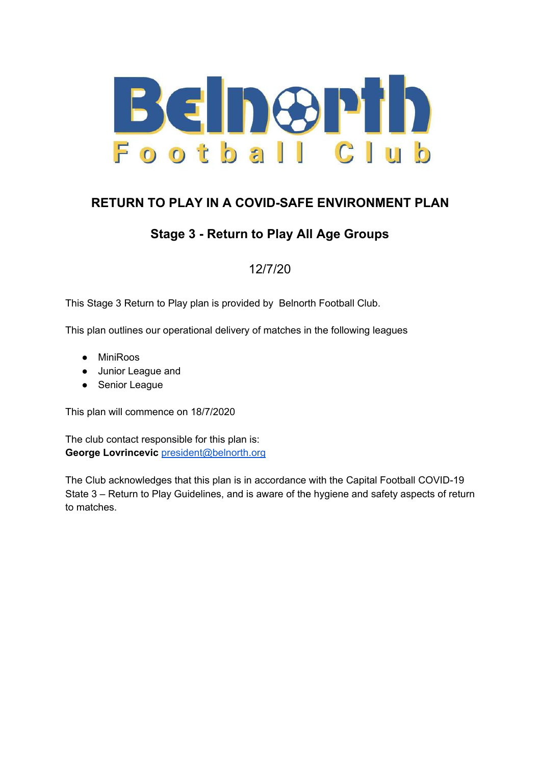

### **RETURN TO PLAY IN A COVID-SAFE ENVIRONMENT PLAN**

### **Stage 3 - Return to Play All Age Groups**

12/7/20

This Stage 3 Return to Play plan is provided by Belnorth Football Club.

This plan outlines our operational delivery of matches in the following leagues

- MiniRoos
- Junior League and
- Senior League

This plan will commence on 18/7/2020

The club contact responsible for this plan is: **George Lovrincevic** [president@belnorth.org](mailto:president@belnorth.org)

The Club acknowledges that this plan is in accordance with the Capital Football COVID-19 State 3 – Return to Play Guidelines, and is aware of the hygiene and safety aspects of return to matches.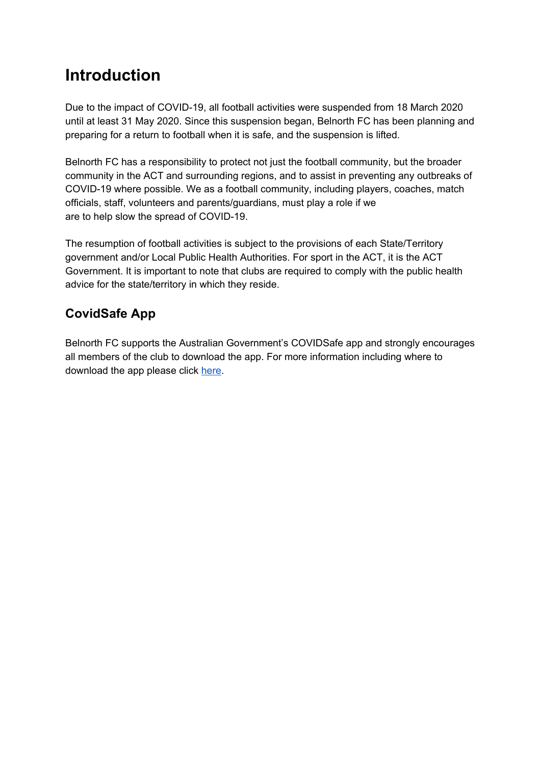# **Introduction**

Due to the impact of COVID-19, all football activities were suspended from 18 March 2020 until at least 31 May 2020. Since this suspension began, Belnorth FC has been planning and preparing for a return to football when it is safe, and the suspension is lifted.

Belnorth FC has a responsibility to protect not just the football community, but the broader community in the ACT and surrounding regions, and to assist in preventing any outbreaks of COVID-19 where possible. We as a football community, including players, coaches, match officials, staff, volunteers and parents/guardians, must play a role if we are to help slow the spread of COVID-19.

The resumption of football activities is subject to the provisions of each State/Territory government and/or Local Public Health Authorities. For sport in the ACT, it is the ACT Government. It is important to note that clubs are required to comply with the public health advice for the state/territory in which they reside.

## **CovidSafe App**

Belnorth FC supports the Australian Government's COVIDSafe app and strongly encourages all members of the club to download the app. For more information including where to download the app please click [here.](https://www.health.gov.au/resources/apps-and-tools/covidsafe-app)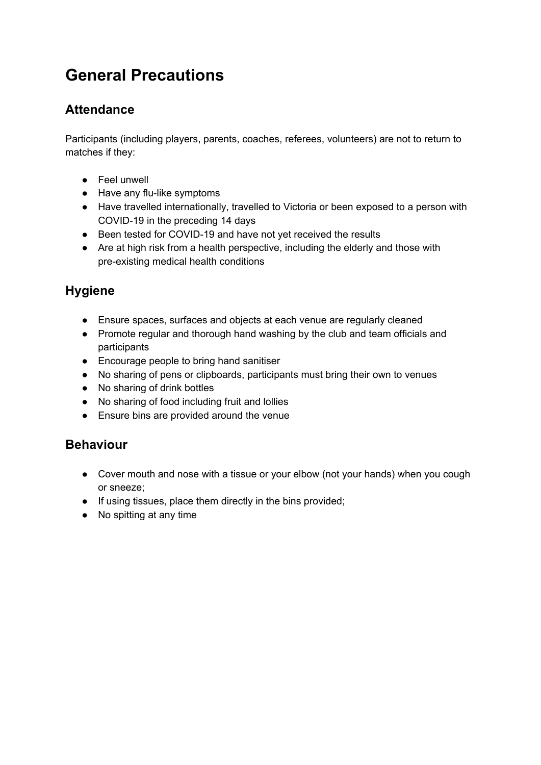# **General Precautions**

#### **Attendance**

Participants (including players, parents, coaches, referees, volunteers) are not to return to matches if they:

- Feel unwell
- Have any flu-like symptoms
- Have travelled internationally, travelled to Victoria or been exposed to a person with COVID-19 in the preceding 14 days
- Been tested for COVID-19 and have not yet received the results
- Are at high risk from a health perspective, including the elderly and those with pre-existing medical health conditions

## **Hygiene**

- Ensure spaces, surfaces and objects at each venue are regularly cleaned
- Promote regular and thorough hand washing by the club and team officials and participants
- Encourage people to bring hand sanitiser
- No sharing of pens or clipboards, participants must bring their own to venues
- No sharing of drink bottles
- No sharing of food including fruit and lollies
- Ensure bins are provided around the venue

#### **Behaviour**

- Cover mouth and nose with a tissue or your elbow (not your hands) when you cough or sneeze;
- If using tissues, place them directly in the bins provided;
- No spitting at any time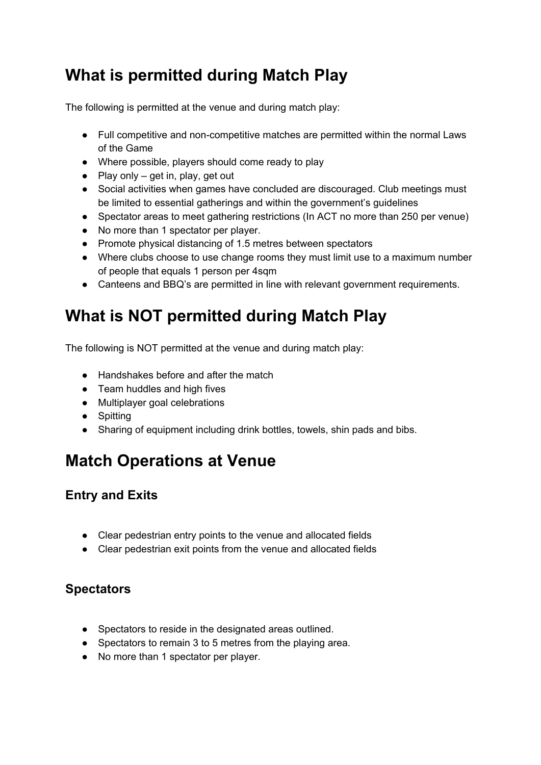# **What is permitted during Match Play**

The following is permitted at the venue and during match play:

- Full competitive and non-competitive matches are permitted within the normal Laws of the Game
- Where possible, players should come ready to play
- Play only  $-$  get in, play, get out
- Social activities when games have concluded are discouraged. Club meetings must be limited to essential gatherings and within the government's guidelines
- Spectator areas to meet gathering restrictions (In ACT no more than 250 per venue)
- No more than 1 spectator per player.
- Promote physical distancing of 1.5 metres between spectators
- Where clubs choose to use change rooms they must limit use to a maximum number of people that equals 1 person per 4sqm
- Canteens and BBQ's are permitted in line with relevant government requirements.

# **What is NOT permitted during Match Play**

The following is NOT permitted at the venue and during match play:

- Handshakes before and after the match
- Team huddles and high fives
- Multiplayer goal celebrations
- Spitting
- Sharing of equipment including drink bottles, towels, shin pads and bibs.

## **Match Operations at Venue**

#### **Entry and Exits**

- Clear pedestrian entry points to the venue and allocated fields
- Clear pedestrian exit points from the venue and allocated fields

#### **Spectators**

- Spectators to reside in the designated areas outlined.
- Spectators to remain 3 to 5 metres from the playing area.
- No more than 1 spectator per player.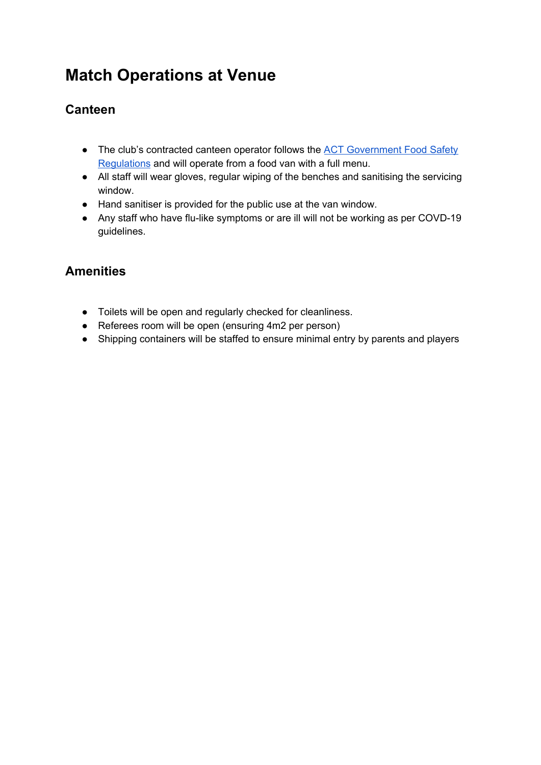# **Match Operations at Venue**

### **Canteen**

- The club's contracted canteen operator follows the **ACT Government Food Safety** [Regulations](https://health.act.gov.au/businesses/food-safety-regulation) and will operate from a food van with a full menu.
- All staff will wear gloves, regular wiping of the benches and sanitising the servicing window.
- Hand sanitiser is provided for the public use at the van window.
- Any staff who have flu-like symptoms or are ill will not be working as per COVD-19 guidelines.

#### **Amenities**

- Toilets will be open and regularly checked for cleanliness.
- Referees room will be open (ensuring 4m2 per person)
- Shipping containers will be staffed to ensure minimal entry by parents and players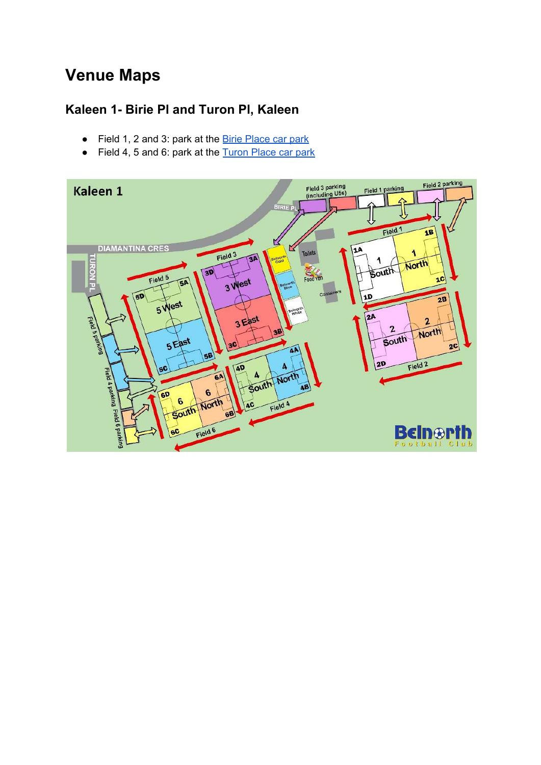# **Venue Maps**

## **Kaleen 1- Birie Pl and Turon Pl, Kaleen**

- Field 1, 2 and 3: park at the [Birie Place car park](https://goo.gl/maps/97r33jQqYpab2r9V9)
- Field 4, 5 and 6: park at the [Turon Place car park](https://goo.gl/maps/BJSPuGnNQRyH5TJH9)